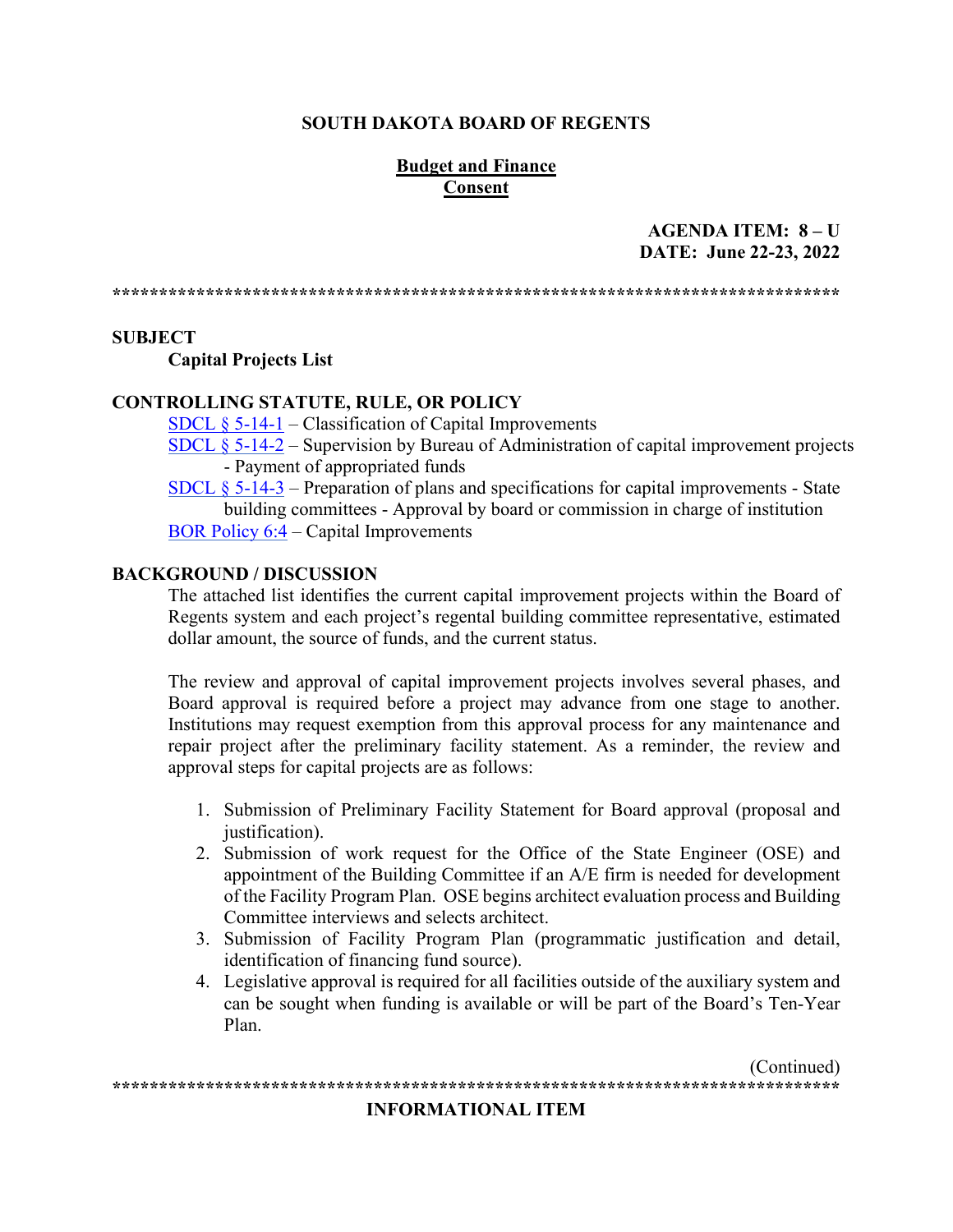#### **SOUTH DAKOTA BOARD OF REGENTS**

#### **Budget and Finance Consent**

#### AGENDA ITEM:  $8 - U$ DATE: June 22-23, 2022

#### **SUBJECT**

**Capital Projects List** 

#### **CONTROLLING STATUTE, RULE, OR POLICY**

SDCL  $\S$  5-14-1 – Classification of Capital Improvements

SDCL  $\S$  5-14-2 – Supervision by Bureau of Administration of capital improvement projects - Payment of appropriated funds

SDCL  $\S$  5-14-3 – Preparation of plans and specifications for capital improvements - State building committees - Approval by board or commission in charge of institution BOR Policy  $6:4$  – Capital Improvements

#### **BACKGROUND / DISCUSSION**

The attached list identifies the current capital improvement projects within the Board of Regents system and each project's regental building committee representative, estimated dollar amount, the source of funds, and the current status.

The review and approval of capital improvement projects involves several phases, and Board approval is required before a project may advance from one stage to another. Institutions may request exemption from this approval process for any maintenance and repair project after the preliminary facility statement. As a reminder, the review and approval steps for capital projects are as follows:

- 1. Submission of Preliminary Facility Statement for Board approval (proposal and justification).
- 2. Submission of work request for the Office of the State Engineer (OSE) and appointment of the Building Committee if an A/E firm is needed for development of the Facility Program Plan. OSE begins architect evaluation process and Building Committee interviews and selects architect.
- 3. Submission of Facility Program Plan (programmatic justification and detail, identification of financing fund source).
- 4. Legislative approval is required for all facilities outside of the auxiliary system and can be sought when funding is available or will be part of the Board's Ten-Year Plan.

(Continued) 

#### **INFORMATIONAL ITEM**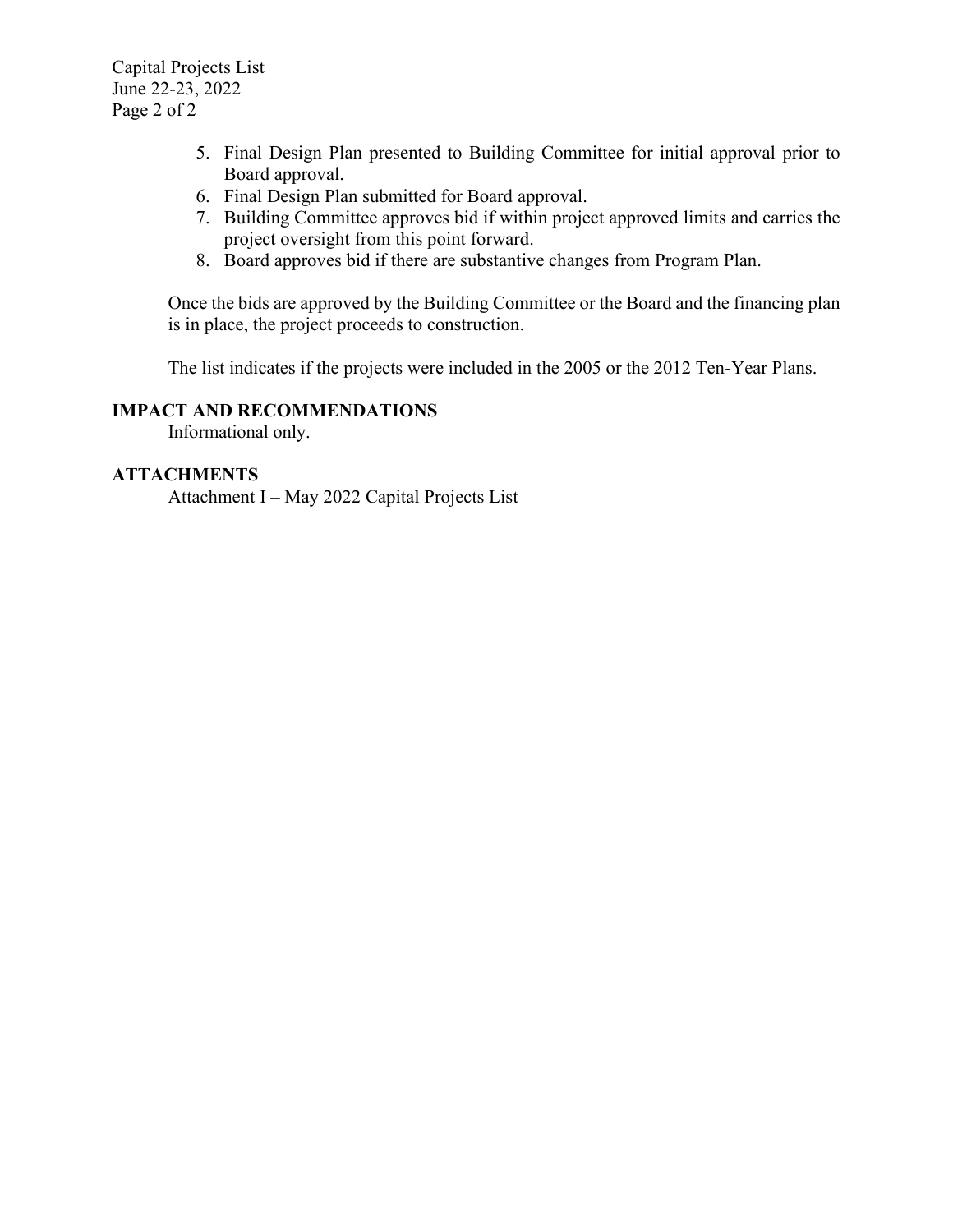Capital Projects List June 22-23, 2022 Page 2 of 2

- 5. Final Design Plan presented to Building Committee for initial approval prior to Board approval.
- 6. Final Design Plan submitted for Board approval.
- 7. Building Committee approves bid if within project approved limits and carries the project oversight from this point forward.
- 8. Board approves bid if there are substantive changes from Program Plan.

Once the bids are approved by the Building Committee or the Board and the financing plan is in place, the project proceeds to construction.

The list indicates if the projects were included in the 2005 or the 2012 Ten-Year Plans.

#### **IMPACT AND RECOMMENDATIONS**

Informational only.

#### **ATTACHMENTS**

Attachment I – May 2022 Capital Projects List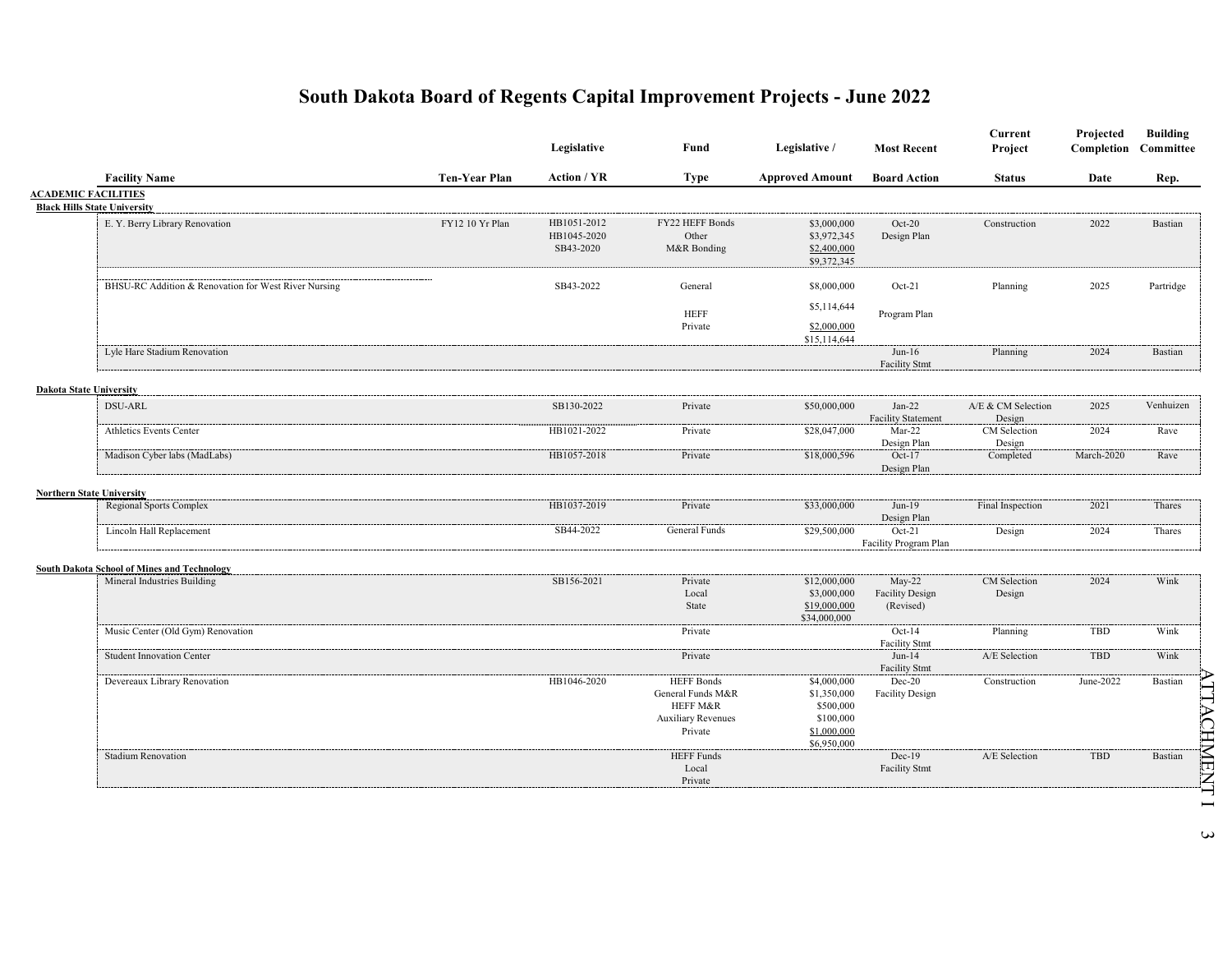|                                  |                                                      |                      | Legislative                             | Fund                                                                                       | Legislative /                                                                      | <b>Most Recent</b>                              | Current<br>Project           | Projected<br>Completion | <b>Building</b><br>Committee |
|----------------------------------|------------------------------------------------------|----------------------|-----------------------------------------|--------------------------------------------------------------------------------------------|------------------------------------------------------------------------------------|-------------------------------------------------|------------------------------|-------------------------|------------------------------|
|                                  | <b>Facility Name</b>                                 | <b>Ten-Year Plan</b> | Action / YR                             | <b>Type</b>                                                                                | <b>Approved Amount</b>                                                             | <b>Board Action</b>                             | <b>Status</b>                | Date                    | Rep.                         |
| <b>ACADEMIC FACILITIES</b>       | <b>Black Hills State University</b>                  |                      |                                         |                                                                                            |                                                                                    |                                                 |                              |                         |                              |
|                                  | E. Y. Berry Library Renovation                       | FY12 10 Yr Plan      | HB1051-2012<br>HB1045-2020<br>SB43-2020 | FY22 HEFF Bonds<br>Other<br>M&R Bonding                                                    | \$3,000,000<br>\$3,972,345<br>\$2,400,000<br>\$9,372,345                           | $Oct-20$<br>Design Plan                         | Construction                 | 2022                    | Bastian                      |
|                                  | BHSU-RC Addition & Renovation for West River Nursing |                      | SB43-2022                               | General                                                                                    | \$8,000,000                                                                        | $Oct-21$                                        | Planning                     | 2025                    | Partridge                    |
|                                  |                                                      |                      |                                         | <b>HEFF</b><br>Private                                                                     | \$5,114,644<br>\$2,000,000<br>\$15,114,644                                         | Program Plan                                    |                              |                         |                              |
|                                  | Lyle Hare Stadium Renovation                         |                      |                                         |                                                                                            |                                                                                    | $Jun-16$<br><b>Facility Stmt</b>                | Planning                     | 2024                    | Bastian                      |
| <b>Dakota State University</b>   |                                                      |                      |                                         |                                                                                            |                                                                                    |                                                 |                              |                         |                              |
|                                  | DSU-ARL                                              |                      | SB130-2022                              | Private                                                                                    | \$50,000,000                                                                       | $Jan-22$<br><b>Facility Statement</b>           | A/E & CM Selection<br>Design | 2025                    | Venhuizen                    |
|                                  | Athletics Events Center                              |                      | HB1021-2022                             | Private                                                                                    | \$28,047,000                                                                       | $Mar-22$<br>Design Plan                         | CM Selection<br>Design       | 2024                    | Rave                         |
|                                  | Madison Cyber labs (MadLabs)                         |                      | HB1057-2018                             | Private                                                                                    | \$18,000,596                                                                       | $Oct-17$<br>Design Plan                         | Completed                    | March-2020              | Rave                         |
| <b>Northern State University</b> |                                                      |                      |                                         |                                                                                            |                                                                                    |                                                 |                              |                         |                              |
|                                  | <b>Regional Sports Complex</b>                       |                      | HB1037-2019                             | Private                                                                                    | \$33,000,000                                                                       | $Jun-19$<br>Design Plan                         | Final Inspection             | 2021                    | Thares                       |
|                                  | Lincoln Hall Replacement                             |                      | SB44-2022                               | General Funds                                                                              | \$29,500,000                                                                       | $Oct-21$<br>Facility Program Plan               | Design                       | 2024                    | Thares                       |
|                                  | <b>South Dakota School of Mines and Technology</b>   |                      |                                         |                                                                                            |                                                                                    |                                                 |                              |                         |                              |
|                                  | Mineral Industries Building                          |                      | SB156-2021                              | Private<br>Local<br>State                                                                  | \$12,000,000<br>\$3,000,000<br>\$19,000,000<br>\$34,000,000                        | $May-22$<br><b>Facility Design</b><br>(Revised) | CM Selection<br>Design       | 2024                    | Wink                         |
|                                  | Music Center (Old Gym) Renovation                    |                      |                                         | Private                                                                                    |                                                                                    | $Oct-14$<br><b>Facility Stmt</b>                | Planning                     | <b>TBD</b>              | Wink                         |
|                                  | <b>Student Innovation Center</b>                     |                      |                                         | Private                                                                                    |                                                                                    | $Jun-14$<br><b>Facility Stmt</b>                | A/E Selection                | <b>TBD</b>              | Wink                         |
|                                  | Devereaux Library Renovation                         |                      | HB1046-2020                             | <b>HEFF Bonds</b><br>General Funds M&R<br>HEFF M&R<br><b>Auxiliary Revenues</b><br>Private | \$4,000,000<br>\$1,350,000<br>\$500,000<br>\$100,000<br>\$1,000,000<br>\$6,950,000 | $Dec-20$<br><b>Facility Design</b>              | Construction                 | June-2022               | Bastian                      |
|                                  | <b>Stadium Renovation</b>                            |                      |                                         | <b>HEFF Funds</b><br>Local<br>Private                                                      |                                                                                    | $Dec-19$<br><b>Facility Stmt</b>                | A/E Selection                | <b>TBD</b>              | Bastian                      |

 $\boldsymbol{\omega}$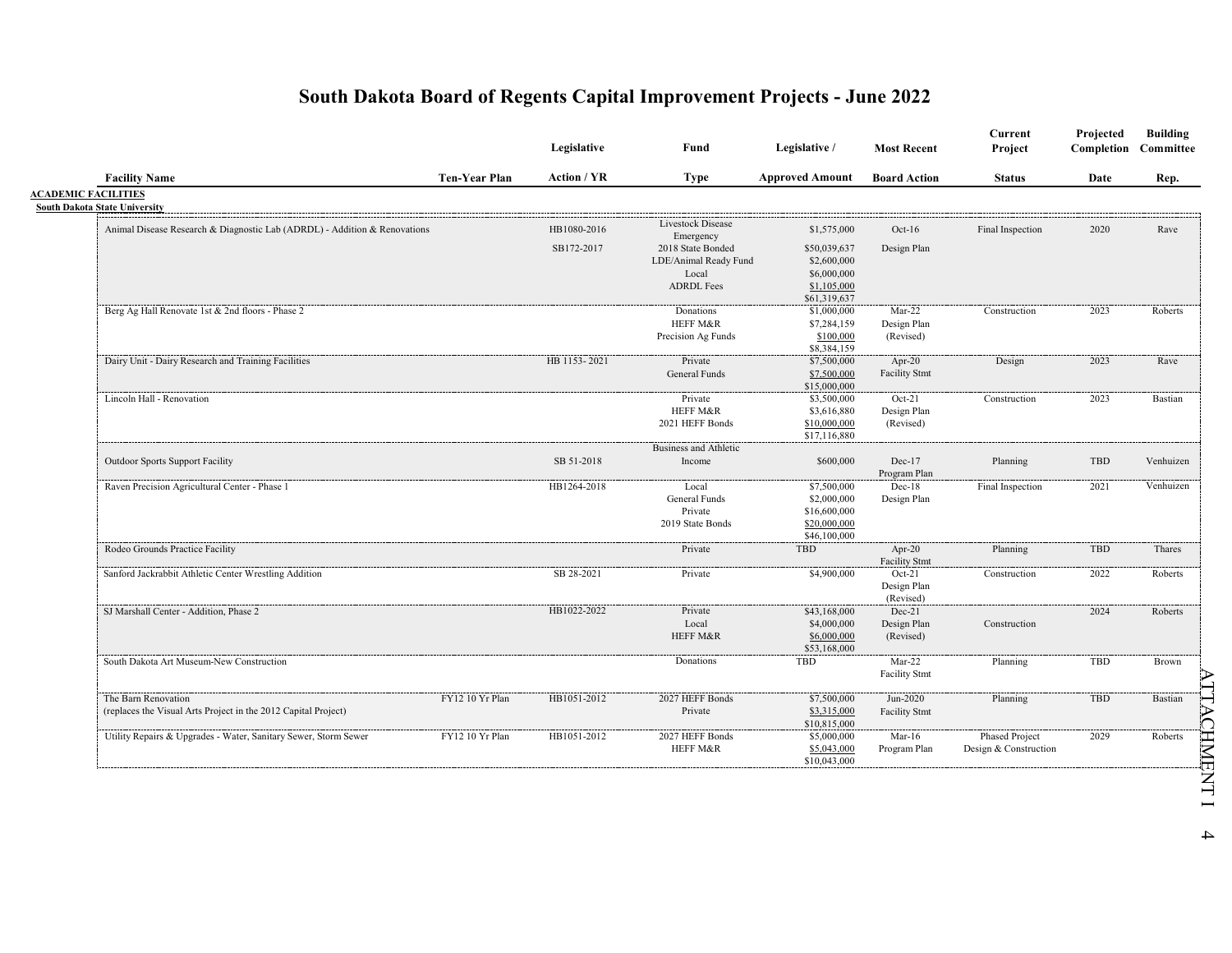|                                                                           |                      | Legislative        | Fund                           | Legislative /                | <b>Most Recent</b>       | Current<br>Project                             | Projected<br>Completion | <b>Building</b><br>Committee |
|---------------------------------------------------------------------------|----------------------|--------------------|--------------------------------|------------------------------|--------------------------|------------------------------------------------|-------------------------|------------------------------|
| <b>Facility Name</b>                                                      | <b>Ten-Year Plan</b> | <b>Action / YR</b> | <b>Type</b>                    | <b>Approved Amount</b>       | <b>Board Action</b>      | <b>Status</b>                                  | Date                    | Rep.                         |
| <b>ACADEMIC FACILITIES</b><br><b>South Dakota State University</b>        |                      |                    |                                |                              |                          |                                                |                         |                              |
| Animal Disease Research & Diagnostic Lab (ADRDL) - Addition & Renovations |                      | HB1080-2016        | Livestock Disease              | \$1,575,000                  | $Oct-16$                 | Final Inspection                               | 2020                    | Rave                         |
|                                                                           |                      | SB172-2017         | Emergency<br>2018 State Bonded | \$50,039,637                 | Design Plan              |                                                |                         |                              |
|                                                                           |                      |                    | LDE/Animal Ready Fund          | \$2,600,000                  |                          |                                                |                         |                              |
|                                                                           |                      |                    | Local<br><b>ADRDL Fees</b>     | \$6,000,000                  |                          |                                                |                         |                              |
|                                                                           |                      |                    |                                | \$1,105,000<br>\$61,319,637  |                          |                                                |                         |                              |
| Berg Ag Hall Renovate 1st & 2nd floors - Phase 2                          |                      |                    | Donations                      | \$1,000,000                  | $Mar-22$                 | Construction                                   | 2023                    | Roberts                      |
|                                                                           |                      |                    | HEFF M&R                       | \$7,284,159                  | Design Plan              |                                                |                         |                              |
|                                                                           |                      |                    | Precision Ag Funds             | \$100,000                    | (Revised)                |                                                |                         |                              |
|                                                                           |                      |                    |                                | \$8,384,159                  |                          |                                                |                         |                              |
| Dairy Unit - Dairy Research and Training Facilities                       |                      | HB 1153-2021       | Private                        | \$7,500,000                  | $Apr-20$                 | Design                                         | 2023                    | Rave                         |
|                                                                           |                      |                    | <b>General Funds</b>           | \$7,500,000                  | <b>Facility Stmt</b>     |                                                |                         |                              |
|                                                                           |                      |                    |                                | \$15,000,000                 |                          |                                                |                         |                              |
| Lincoln Hall - Renovation                                                 |                      |                    | Private                        | \$3,500,000                  | $Oct-21$                 | Construction                                   | 2023                    | Bastian                      |
|                                                                           |                      |                    | HEFF M&R                       | \$3,616,880                  | Design Plan              |                                                |                         |                              |
|                                                                           |                      |                    | 2021 HEFF Bonds                | \$10,000,000<br>\$17,116,880 | (Revised)                |                                                |                         |                              |
|                                                                           |                      |                    | <b>Business and Athletic</b>   |                              |                          |                                                |                         |                              |
| <b>Outdoor Sports Support Facility</b>                                    |                      | SB 51-2018         | Income                         | \$600,000                    | Dec-17                   | Planning                                       | TBD                     | Venhuizen                    |
|                                                                           |                      |                    |                                |                              | Program Plan             |                                                |                         |                              |
| Raven Precision Agricultural Center - Phase 1                             |                      | HB1264-2018        | Local                          | \$7,500,000                  | $Dec-18$                 | Final Inspection                               | 2021                    | Venhuizen                    |
|                                                                           |                      |                    | General Funds                  | \$2,000,000                  | Design Plan              |                                                |                         |                              |
|                                                                           |                      |                    | Private                        | \$16,600,000                 |                          |                                                |                         |                              |
|                                                                           |                      |                    | 2019 State Bonds               | \$20,000,000                 |                          |                                                |                         |                              |
|                                                                           |                      |                    |                                | \$46,100,000                 |                          |                                                |                         |                              |
| Rodeo Grounds Practice Facility                                           |                      |                    | Private                        | TBD                          | Apr-20                   | Planning                                       | TBD                     | Thares                       |
|                                                                           |                      |                    |                                |                              | <b>Facility Stmt</b>     |                                                |                         |                              |
| Sanford Jackrabbit Athletic Center Wrestling Addition                     |                      | SB 28-2021         | Private                        | \$4,900,000                  | $Oct-21$                 | Construction                                   | 2022                    | Roberts                      |
|                                                                           |                      |                    |                                |                              | Design Plan<br>(Revised) |                                                |                         |                              |
| SJ Marshall Center - Addition, Phase 2                                    |                      | HB1022-2022        | Private                        | \$43,168,000                 | $Dec-21$                 |                                                | 2024                    | Roberts                      |
|                                                                           |                      |                    | Local                          | \$4,000,000                  | Design Plan              | Construction                                   |                         |                              |
|                                                                           |                      |                    | HEFF M&R                       | \$6,000,000                  | (Revised)                |                                                |                         |                              |
|                                                                           |                      |                    |                                | \$53,168,000                 |                          |                                                |                         |                              |
| South Dakota Art Museum-New Construction                                  |                      |                    | Donations                      | TBD                          | $Mar-22$                 | Planning                                       | TBD                     | Brown                        |
|                                                                           |                      |                    |                                |                              | <b>Facility Stmt</b>     |                                                |                         |                              |
| The Barn Renovation                                                       | FY12 10 Yr Plan      | HB1051-2012        | 2027 HEFF Bonds                | \$7,500,000                  | Jun-2020                 | Planning                                       | TBD                     | Bastian                      |
|                                                                           |                      |                    | Private                        | \$3,315,000                  | <b>Facility Stmt</b>     |                                                |                         |                              |
| (replaces the Visual Arts Project in the 2012 Capital Project)            |                      |                    |                                |                              |                          |                                                |                         |                              |
|                                                                           | FY12 10 Yr Plan      |                    |                                | \$10,815,000                 | $Mar-16$                 |                                                | 2029                    | Roberts                      |
| Utility Repairs & Upgrades - Water, Sanitary Sewer, Storm Sewer           |                      | HB1051-2012        | 2027 HEFF Bonds<br>HEFF M&R    | \$5,000,000<br>\$5,043,000   | Program Plan             | <b>Phased Project</b><br>Design & Construction |                         |                              |

 $\mathcal{A}% _{0}$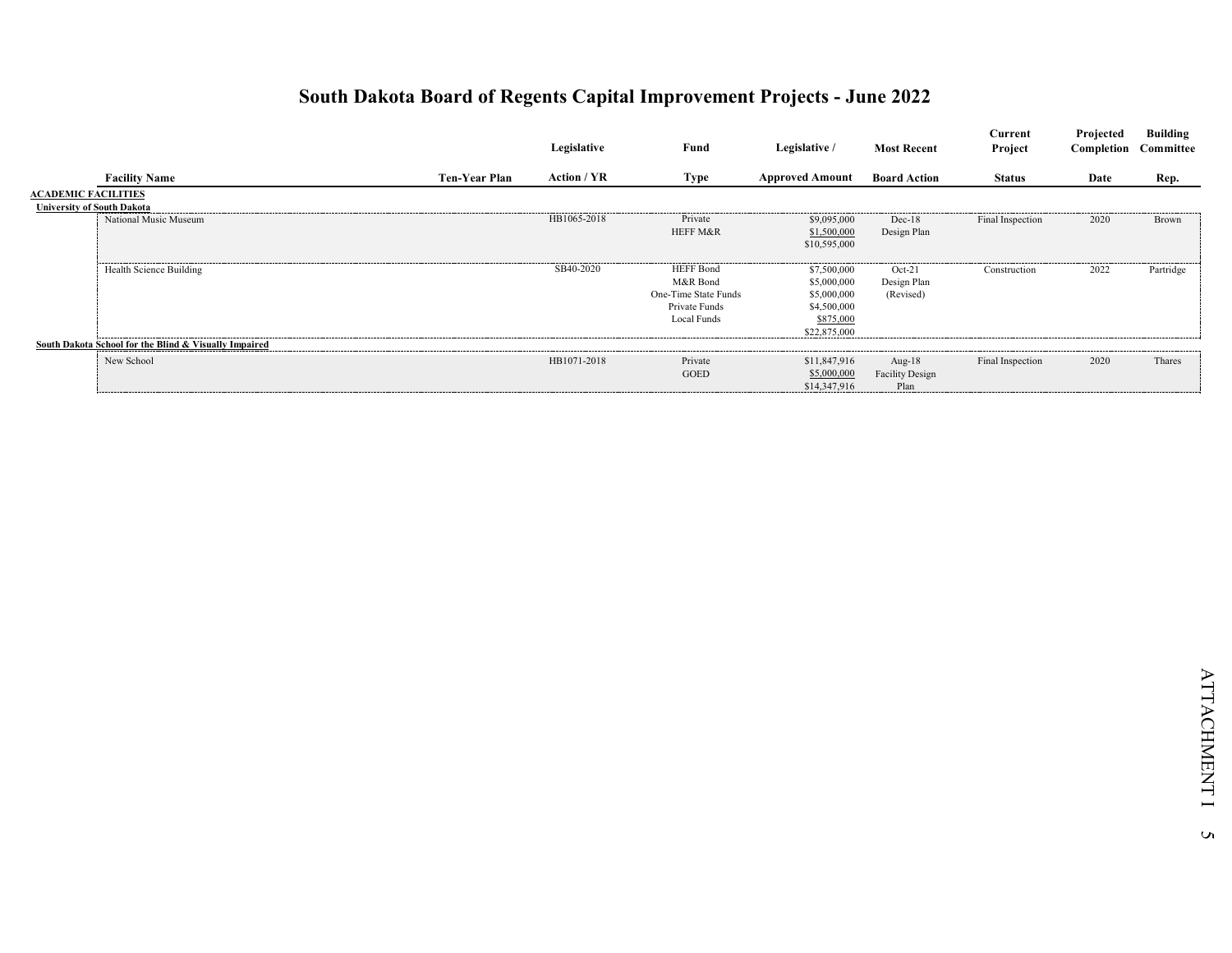|                                   |                                                       |                      | Legislative | Fund                                                                                 | Legislative /                                                                         | <b>Most Recent</b>                          | Current<br>Project | Projected<br><b>Completion</b> Committee | <b>Building</b> |
|-----------------------------------|-------------------------------------------------------|----------------------|-------------|--------------------------------------------------------------------------------------|---------------------------------------------------------------------------------------|---------------------------------------------|--------------------|------------------------------------------|-----------------|
|                                   | <b>Facility Name</b>                                  | <b>Ten-Year Plan</b> | Action / YR | Type                                                                                 | <b>Approved Amount</b>                                                                | <b>Board Action</b>                         | <b>Status</b>      | Date                                     | Rep.            |
| <b>ACADEMIC FACILITIES</b>        |                                                       |                      |             |                                                                                      |                                                                                       |                                             |                    |                                          |                 |
| <b>University of South Dakota</b> |                                                       |                      |             |                                                                                      |                                                                                       |                                             |                    |                                          |                 |
|                                   | National Music Museum                                 |                      | HB1065-2018 | Private<br><b>HEFF M&amp;R</b>                                                       | \$9,095,000<br>\$1,500,000<br>\$10,595,000                                            | $Dec-18$<br>Design Plan                     | Final Inspection   | 2020                                     | Brown           |
|                                   | Health Science Building                               |                      | SB40-2020   | <b>HEFF</b> Bond<br>M&R Bond<br>One-Time State Funds<br>Private Funds<br>Local Funds | \$7,500,000<br>\$5,000,000<br>\$5,000,000<br>\$4,500,000<br>\$875,000<br>\$22,875,000 | $Oct-21$<br>Design Plan<br>(Revised)        | Construction       | 2022                                     | Partridge       |
|                                   | South Dakota School for the Blind & Visually Impaired |                      |             |                                                                                      |                                                                                       |                                             |                    |                                          |                 |
|                                   | New School                                            |                      | HB1071-2018 | Private<br><b>GOED</b>                                                               | \$11,847,916<br>\$5,000,000<br>\$14,347,916                                           | Aug- $18$<br><b>Facility Design</b><br>Plan | Final Inspection   | 2020                                     | Thares          |